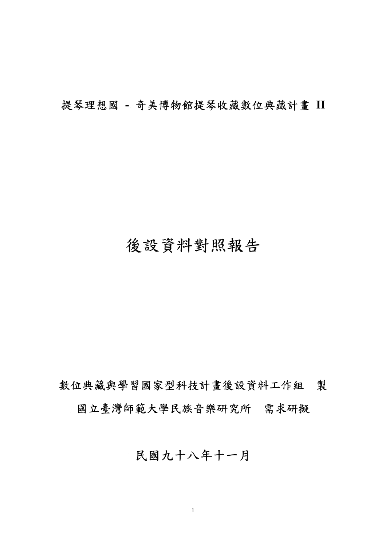提琴理想國 **-** 奇美博物館提琴收藏數位典藏計畫 **II**

# 後設資料對照報告

數位典藏與學習國家型科技計畫後設資料工作組 製 國立臺灣師範大學民族音樂研究所 需求研擬

## 民國九十八年十一月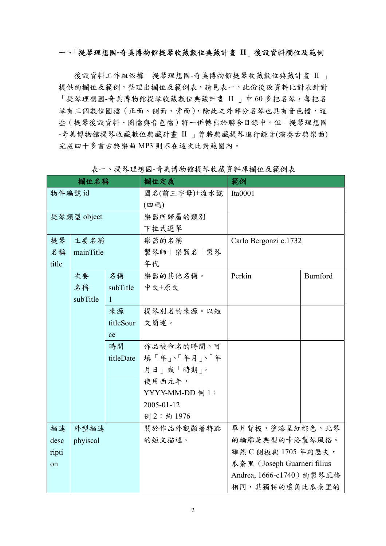#### 一、「提琴理想國**-**奇美博物館提琴收藏數位典藏計畫 **II**」後設資料欄位及範例

後設資料工作組依據「提琴理想國-奇美博物館提琴收藏數位典藏計畫 II 」 提供的欄位及範例,整理出欄位及範例表,請見表一。此份後設資料比對表針對 「提琴理想國-奇美博物館提琴收藏數位典藏計畫 II 」中 60 多把名琴,每把名 琴有三個數位圖檔(正面、側面、背面),除此之外部分名琴也具有音色檔,這 些(提琴後設資料、圖檔與音色檔)將一併轉出於聯合目錄中。但「提琴理想國 -奇美博物館提琴收藏數位典藏計畫 II 」曾將典藏提琴進行錄音(演奏古典樂曲) 完成四十多首古典樂曲 MP3 則不在這次比對範圍內。

|                          | 欄位名稱      |          | 欄位定義            | 範例                          |                 |
|--------------------------|-----------|----------|-----------------|-----------------------------|-----------------|
|                          | 物件編號 id   |          | 國名(前三字母)+流水號    | Ita $0001$                  |                 |
|                          |           |          | (四碼)            |                             |                 |
| 提琴類型 object              |           |          | 樂器所歸屬的類別        |                             |                 |
|                          |           |          | 下拉式選單           |                             |                 |
| 提琴                       | 主要名稱      |          | 樂器的名稱           | Carlo Bergonzi c.1732       |                 |
| 名稱                       | mainTitle |          | 製琴師十樂器名十製琴      |                             |                 |
| title                    |           |          | 年代              |                             |                 |
|                          | 次要        | 名稱       | 樂器的其他名稱。        | Perkin                      | <b>Burnford</b> |
|                          | 名稱        | subTitle | 中文+原文           |                             |                 |
| subTitle<br>$\mathbf{1}$ |           |          |                 |                             |                 |
| 來源                       |           |          | 提琴別名的來源。以短      |                             |                 |
| titleSour                |           |          | 文簡述。            |                             |                 |
| ce                       |           |          |                 |                             |                 |
| 時間                       |           |          | 作品被命名的時間。可      |                             |                 |
| titleDate                |           |          | 填「年」、「年月」、「年    |                             |                 |
|                          |           |          | 月日   或「時期」。     |                             |                 |
|                          |           |          | 使用西元年,          |                             |                 |
|                          |           |          | YYYY-MM-DD 例 1: |                             |                 |
|                          |           |          | 2005-01-12      |                             |                 |
|                          |           |          | 例 2:約 1976      |                             |                 |
| 描述                       | 外型描述      |          | 關於作品外觀顯著特點      | 單片背板,塗漆呈紅棕色。此琴              |                 |
| phyiscal<br>desc         |           |          | 的短文描述。          | 的輪廓是典型的卡洛製琴風格。              |                 |
| ripti                    |           |          |                 | 雖然 C 側板與 1705 年約瑟夫·         |                 |
| on                       |           |          |                 | 瓜奈里 (Joseph Guarneri filius |                 |
|                          |           |          |                 | Andrea, 1666-c1740) 的製琴風格   |                 |
|                          |           |          |                 | 相同,其獨特的邊角比瓜奈里的              |                 |

表一、提琴理想國-奇美博物館提琴收藏資料庫欄位及範例表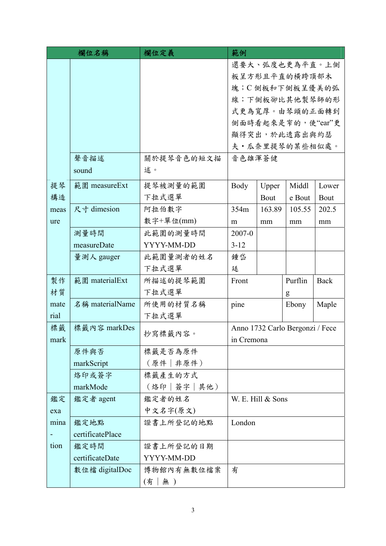| 欄位名稱                             |                 | 欄位定義          | 範例                                |                   |                   |             |  |
|----------------------------------|-----------------|---------------|-----------------------------------|-------------------|-------------------|-------------|--|
|                                  |                 |               |                                   |                   | 還要大、弧度也更為平直。上側    |             |  |
|                                  |                 | 板呈方形且平直的横跨頂部木 |                                   |                   |                   |             |  |
|                                  |                 |               | 塊;C 側板和下側板呈優美的弧<br>線;下側板卻比其他製琴師的形 |                   |                   |             |  |
|                                  |                 |               |                                   |                   |                   |             |  |
|                                  |                 |               | 式更為寬厚。由琴頭的正面轉到                    |                   |                   |             |  |
|                                  |                 |               |                                   |                   | 側面時看起來是窄的,使"ear"更 |             |  |
|                                  |                 |               |                                   |                   | 顯得突出,於此透露出與約瑟     |             |  |
|                                  |                 |               |                                   |                   | 夫·瓜奈里提琴的某些相似處。    |             |  |
|                                  | 聲音描述            | 關於提琴音色的短文描    | 音色雄渾蒼健                            |                   |                   |             |  |
|                                  | sound           | 述。            |                                   |                   |                   |             |  |
| 提琴                               | 範圍 measureExt   | 提琴被測量的範圍      | Body                              | Upper             | Middl             | Lower       |  |
| 構造                               |                 | 下拉式選單         |                                   | Bout              | e Bout            | Bout        |  |
| meas                             | 尺寸 dimesion     | 阿拉伯數字         | 354m                              | 163.89            | 105.55            | 202.5       |  |
| ure                              |                 | 數字+單位(mm)     | m                                 | mm                | mm                | mm          |  |
|                                  | 測量時間            | 此範圍的測量時間      | $2007 - 0$                        |                   |                   |             |  |
|                                  | measureDate     | YYYY-MM-DD    | $3 - 12$                          |                   |                   |             |  |
|                                  | 量測人 gauger      | 此範圍量測者的姓名     | 鍾岱                                |                   |                   |             |  |
|                                  |                 | 下拉式選單         | 廷                                 |                   |                   |             |  |
| 製作                               | 範圍 materialExt  | 所描述的提琴範圍      | Front                             |                   | Purflin           | <b>Back</b> |  |
| 材質                               |                 | 下拉式選單         |                                   |                   | g                 |             |  |
| mate                             | 名稱 materialName | 所使用的材質名稱      | pine<br>Ebony                     |                   | Maple             |             |  |
| rial                             |                 | 下拉式選單         |                                   |                   |                   |             |  |
| 標籤                               | 標籤內容 markDes    | 抄寫標籤內容。       | Anno 1732 Carlo Bergonzi / Fece   |                   |                   |             |  |
| mark                             |                 |               | in Cremona                        |                   |                   |             |  |
|                                  | 原件與否            | 標籤是否為原件       |                                   |                   |                   |             |  |
|                                  | markScript      | (原件   非原件)    |                                   |                   |                   |             |  |
|                                  | 烙印或簽字           | 標籤產生的方式       |                                   |                   |                   |             |  |
|                                  | markMode        | (烙印 簽字 其他)    |                                   |                   |                   |             |  |
| 鑑定                               | 鑑定者 agent       | 鑑定者的姓名        |                                   | W. E. Hill & Sons |                   |             |  |
| exa                              |                 | 中文名字(原文)      |                                   |                   |                   |             |  |
| mina<br>鑑定地點<br>certificatePlace |                 | 證書上所登記的地點     | London                            |                   |                   |             |  |
|                                  |                 |               |                                   |                   |                   |             |  |
| tion                             | 鑑定時間            | 證書上所登記的日期     |                                   |                   |                   |             |  |
|                                  | certificateDate | YYYY-MM-DD    |                                   |                   |                   |             |  |
|                                  | 數位檔 digitalDoc  | 博物館內有無數位檔案    | 有                                 |                   |                   |             |  |
|                                  |                 | 無 )<br>(有     |                                   |                   |                   |             |  |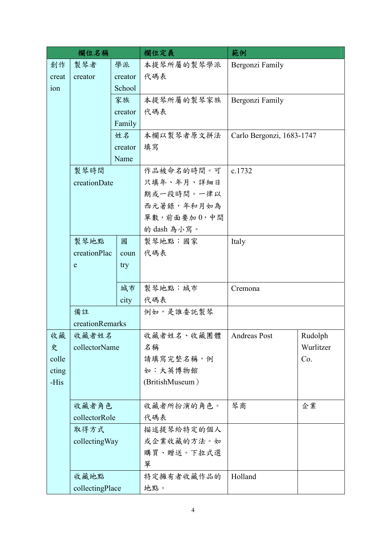| 欄位名稱                 |                 |         | 欄位定義            | 範例                        |           |
|----------------------|-----------------|---------|-----------------|---------------------------|-----------|
| 創作                   | 製琴者             | 學派      | 本提琴所屬的製琴學派      | Bergonzi Family           |           |
| creat                | creator         | creator | 代碼表             |                           |           |
| ion                  | School          |         |                 |                           |           |
|                      |                 | 家族      | 本提琴所屬的製琴家族      | Bergonzi Family           |           |
|                      |                 | creator | 代碼表             |                           |           |
|                      |                 | Family  |                 |                           |           |
|                      |                 | 姓名      | 本欄以製琴者原文拼法      | Carlo Bergonzi, 1683-1747 |           |
|                      |                 | creator | 填寫              |                           |           |
|                      |                 | Name    |                 |                           |           |
|                      | 製琴時間            |         | 作品被命名的時間。可      | c.1732                    |           |
|                      | creationDate    |         | 只填年、年月、詳細日      |                           |           |
|                      |                 |         | 期或一段時間。一律以      |                           |           |
|                      |                 |         | 西元著錄,年和月如為      |                           |           |
|                      |                 |         | 單數,前面要加0,中間     |                           |           |
|                      |                 |         | 的 dash 為小寫。     |                           |           |
|                      | 製琴地點            | 國       | 製琴地點:國家         | Italy                     |           |
| creationPlac<br>coun |                 |         | 代碼表             |                           |           |
| ${\bf e}$            |                 | try     |                 |                           |           |
|                      |                 |         |                 |                           |           |
|                      |                 | 城市      | 製琴地點:城市         | Cremona                   |           |
|                      |                 | city    | 代碼表             |                           |           |
|                      | 備註              |         | 例如,是誰委託製琴       |                           |           |
|                      | creationRemarks |         |                 |                           |           |
| 收藏                   | 收藏者姓名           |         | 收藏者姓名、收藏團體      | <b>Andreas Post</b>       | Rudolph   |
| 史                    | collectorName   |         | 名稱              |                           | Wurlitzer |
| colle                |                 |         | 請填寫完整名稱,例       |                           | Co.       |
| cting                |                 |         | 如:大英博物館         |                           |           |
| -His                 |                 |         | (BritishMuseum) |                           |           |
|                      |                 |         |                 |                           |           |
|                      | 收藏者角色           |         | 收藏者所扮演的角色。      | 琴商                        | 企業        |
|                      | collectorRole   |         | 代碼表             |                           |           |
|                      | 取得方式            |         | 描述提琴給特定的個人      |                           |           |
|                      | collecting Way  |         | 或企業收藏的方法。如      |                           |           |
|                      |                 |         | 購買、贈送。下拉式選      |                           |           |
|                      |                 |         | 單               |                           |           |
|                      | 收藏地點            |         | 特定擁有者收藏作品的      | Holland                   |           |
|                      | collectingPlace |         | 地點。             |                           |           |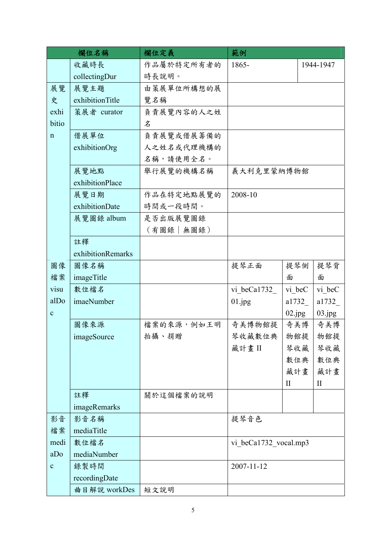| 欄位名稱                |                   | 欄位定義        | 範例                    |              |              |
|---------------------|-------------------|-------------|-----------------------|--------------|--------------|
|                     | 收藏時長              | 作品屬於特定所有者的  | 1865-                 |              | 1944-1947    |
|                     | collectingDur     | 時長說明。       |                       |              |              |
| 展覽                  | 展覽主題              | 由策展單位所構想的展  |                       |              |              |
| 史                   | exhibitionTitle   | 覽名稱         |                       |              |              |
| exhi<br>策展者 curator |                   | 負責展覽內容的人之姓  |                       |              |              |
| bitio               |                   | 名           |                       |              |              |
| $\mathbf n$         | 借展單位              | 負責展覽或借展籌備的  |                       |              |              |
|                     | exhibitionOrg     | 人之姓名或代理機構的  |                       |              |              |
|                     |                   | 名稱,請使用全名。   |                       |              |              |
|                     | 展覽地點              | 舉行展覽的機構名稱   | 義大利克里蒙納博物館            |              |              |
|                     | exhibitionPlace   |             |                       |              |              |
|                     | 展覽日期              | 作品在特定地點展覽的  | 2008-10               |              |              |
|                     | exhibitionDate    | 時間或一段時間。    |                       |              |              |
|                     | 展覽圖錄 album        | 是否出版展覽圖錄    |                       |              |              |
|                     |                   | (有圖錄   無圖錄) |                       |              |              |
|                     | 註釋                |             |                       |              |              |
|                     | exhibitionRemarks |             |                       |              |              |
| 圖像                  | 圖像名稱              |             | 提琴正面                  | 提琴側          | 提琴背          |
| 檔案                  | imageTitle        |             |                       | 面            | 面            |
| visu                | 數位檔名              |             | vi beCa1732           | vi beC       | vi beC       |
| alDo                | imaeNumber        |             | 01.jpg                | a1732        | a1732_       |
| $\mathbf C$         |                   |             |                       | 02.jpg       | 03.jpg       |
|                     | 圖像來源              | 檔案的來源,例如王明  | 奇美博物館提                | 奇美博          | 奇美博          |
|                     | imageSource       | 拍攝、捐贈       | 琴收藏數位典                | 物館提          | 物館提          |
|                     |                   |             | 藏計畫II                 | 琴收藏          | 琴收藏          |
|                     |                   |             |                       | 數位典          | 數位典          |
|                     |                   |             |                       | 藏計畫          | 藏計畫          |
|                     |                   |             |                       | $\mathbf{I}$ | $\mathbf{I}$ |
|                     | 註釋                | 關於這個檔案的說明   |                       |              |              |
|                     | imageRemarks      |             |                       |              |              |
| 影音                  | 影音名稱              |             | 提琴音色                  |              |              |
| 檔案<br>mediaTitle    |                   |             |                       |              |              |
| medi<br>數位檔名        |                   |             | vi beCa1732 vocal.mp3 |              |              |
| aDo                 | mediaNumber       |             |                       |              |              |
| $\mathbf{C}$        | 錄製時間              |             | 2007-11-12            |              |              |
|                     | recordingDate     |             |                       |              |              |
|                     | 曲目解說 workDes      | 短文說明        |                       |              |              |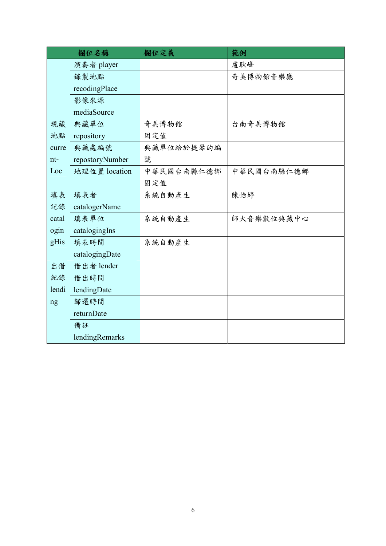|       | 欄位名稱            | 欄位定義       | 範例         |
|-------|-----------------|------------|------------|
|       | 演奏者 player      |            | 盧耿峰        |
|       | 錄製地點            |            | 奇美博物館音樂廳   |
|       | recodingPlace   |            |            |
|       | 影像來源            |            |            |
|       | mediaSource     |            |            |
| 現藏    | 典藏單位            | 奇美博物館      | 台南奇美博物館    |
| 地點    | repository      | 固定值        |            |
| curre | 典藏處編號           | 典藏單位給於提琴的編 |            |
| nt-   | repostoryNumber | 號          |            |
| Loc   | 地理位置 location   | 中華民國台南縣仁德鄉 | 中華民國台南縣仁德鄉 |
|       |                 | 固定值        |            |
| 填表    | 填表者             | 系統自動產生     | 陳怡婷        |
| 記錄    | catalogerName   |            |            |
| catal | 填表單位            | 系統自動產生     | 師大音樂數位典藏中心 |
| ogin  | catalogingIns   |            |            |
| gHis  | 填表時間            | 系統自動產生     |            |
|       | catalogingDate  |            |            |
| 出借    | 借出者 lender      |            |            |
| 紀錄    | 借出時間            |            |            |
| lendi | lendingDate     |            |            |
| ng    | 歸還時間            |            |            |
|       | returnDate      |            |            |
|       | 備註              |            |            |
|       | lendingRemarks  |            |            |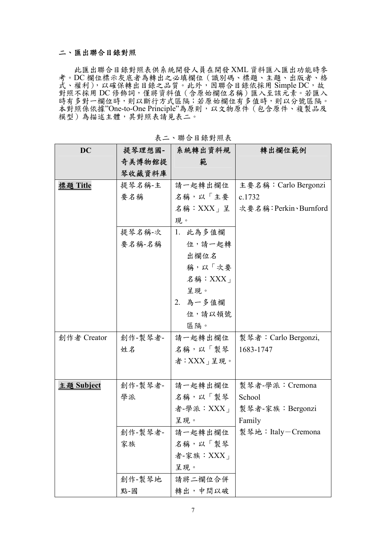#### 二、匯出聯合目錄對照

此匯出聯合目錄對照表供系統開發人員在開發 XML 資料匯入匯出功能時參 考。DC 欄位標示灰底者為轉出之必填欄位(識別碼、標題、主題、出版者、格 式、權利),以確保轉出目錄之品質。此外,因聯合目錄依採用 Simple DC,故 對照不採用 DC 修飾詞,僅將資料值 (含原始欄位名稱) 匯入至該元素。若匯入 時有多對一欄位時,則以斷行方式區隔;若原始欄位有多值時,則以分號區隔。 本對照係依據"One-to-One Principle"為原則,以文物原件(包含原件、複製品及 模型)為描述主體,其對照表請見表二。

| <b>DC</b>       | 提琴理想國-  | 系統轉出資料規             | 轉出欄位範例                |
|-----------------|---------|---------------------|-----------------------|
|                 | 奇美博物館提  | 範                   |                       |
|                 | 琴收藏資料庫  |                     |                       |
| <u>標題 Title</u> | 提琴名稱-主  | 請一起轉出欄位             | 主要名稱: Carlo Bergonzi  |
|                 | 要名稱     | 名稱,以「主要             | c.1732                |
|                 |         | 名稱: XXX」呈           | 次要名稱: Perkin、Burnford |
|                 |         | 現。                  |                       |
|                 | 提琴名稱-次  | 1. 此為多值欄            |                       |
|                 | 要名稱-名稱  | 位,請一起轉              |                       |
|                 |         | 出欄位名                |                       |
|                 |         | 稱,以「次要              |                       |
|                 |         | 名稱: $XXX_1$         |                       |
|                 |         | 呈現。                 |                       |
|                 |         | 2. 為一多值欄            |                       |
|                 |         | 位,請以頓號              |                       |
|                 |         | 區隔。                 |                       |
| 創作者 Creator     | 創作-製琴者- | 請一起轉出欄位             | 製琴者: Carlo Bergonzi,  |
|                 | 姓名      | 名稱,以「製琴             | 1683-1747             |
|                 |         | 者: XXX $_1$ 呈現。     |                       |
|                 |         |                     |                       |
| 主題 Subject      | 創作-製琴者- | 請一起轉出欄位             | 製琴者-學派: Cremona       |
|                 | 學派      | 名稱,以「製琴             | School                |
|                 |         | 者-學派: $XXX_{\perp}$ | 製琴者-家族:Bergonzi       |
|                 |         | 呈現。                 | Family                |
|                 | 創作-製琴者- | 請一起轉出欄位             | 製琴地:Italy-Cremona     |
|                 | 家族      | 名稱,以「製琴             |                       |
|                 |         | 者-家族: XXX」          |                       |
|                 |         | 呈現。                 |                       |
|                 | 創作-製琴地  | 請將二欄位合併             |                       |
|                 | 點-國     | 轉出,中間以破             |                       |

表二、聯合目錄對照表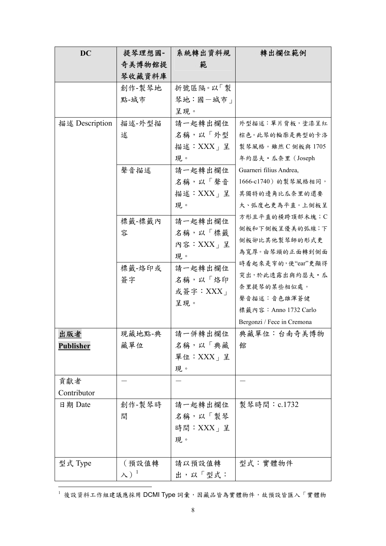| <b>DC</b>        | 提琴理想國-         | 系統轉出資料規       | 轉出欄位範例                     |
|------------------|----------------|---------------|----------------------------|
|                  | 奇美博物館提         | 範             |                            |
|                  | 琴收藏資料庫         |               |                            |
|                  | 創作-製琴地         | 折號區隔。以「製      |                            |
|                  | 點-城市           | 琴地:國一城市」      |                            |
|                  |                | 呈現。           |                            |
| 描述 Description   | 描述-外型描         | 請一起轉出欄位       | 外型描述:單片背板,塗漆呈紅             |
|                  | 述              | 名稱,以「外型       | 棕色。此琴的輪廓是典型的卡洛             |
|                  |                | 描述:XXX」呈      | 製琴風格。雖然 C 側板與 1705         |
|                  |                | 現。            | 年約瑟夫·瓜奈里 (Joseph           |
|                  | 聲音描述           | 請一起轉出欄位       | Guarneri filius Andrea,    |
|                  |                | 名稱,以「聲音       | 1666-c1740) 的製琴風格相同,       |
|                  |                | 描述:XXX」呈      | 其獨特的邊角比瓜奈里的還要              |
|                  |                | 現。            | 大、弧度也更為平直。上側板呈             |
|                  | 標籤-標籤內         | 請一起轉出欄位       | 方形且平直的横跨頂部木塊;C             |
|                  | 容              | 名稱,以「標籤       | 側板和下側板呈優美的弧線;下             |
|                  |                | 內容: $XXX_+$ 呈 | 側板卻比其他製琴師的形式更              |
|                  |                | 現。            | 為寬厚。由琴頭的正面轉到側面             |
|                  | 標籤-烙印或         | 請一起轉出欄位       | 時看起來是窄的,使"ear"更顯得          |
|                  | 簽字             | 名稱,以「烙印       | 突出,於此透露出與約瑟夫·瓜             |
|                  |                | 或簽字: $XXX_1$  | 奈里提琴的某些相似處。                |
|                  |                | 呈現。           | 聲音描述:音色雄渾蒼健                |
|                  |                |               | 標籤內容: Anno 1732 Carlo      |
|                  |                |               | Bergonzi / Fece in Cremona |
| 出版者              | 現藏地點-典         | 請一併轉出欄位       | 典藏單位:台南奇美博物                |
| <b>Publisher</b> | 藏單位            | 名稱,以「典藏       | 館                          |
|                  |                | 單位: $XXX$   呈 |                            |
|                  |                | 現。            |                            |
| 貢獻者              |                |               |                            |
| Contributor      |                |               |                            |
| 日期 Date          | 創作-製琴時         | 請一起轉出欄位       | 製琴時間: c.1732               |
|                  | 間              | 名稱,以「製琴       |                            |
|                  |                | 時間: XXX   呈   |                            |
|                  |                | 現。            |                            |
| 型式 Type          | (預設值轉          | 請以預設值轉        | 型式:實體物件                    |
|                  | $\lambda)^{1}$ | 出,以「型式:       |                            |
|                  |                |               |                            |

 $^1$ 後設資料工作組建議應採用 DCMI Type 詞彙,因藏品皆為實體物件,故預設皆匯入「實體物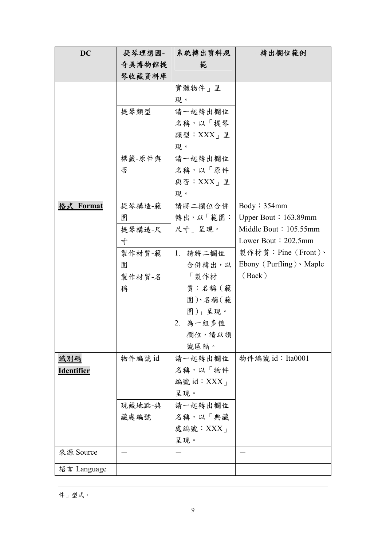| <b>DC</b>         | 提琴理想國-  | 系統轉出資料規    | 轉出欄位範例                         |
|-------------------|---------|------------|--------------------------------|
|                   | 奇美博物館提  | 範          |                                |
|                   | 琴收藏資料庫  |            |                                |
|                   |         | 實體物件」呈     |                                |
|                   |         | 現。         |                                |
|                   | 提琴類型    | 請一起轉出欄位    |                                |
|                   |         | 名稱,以「提琴    |                                |
|                   |         | 類型:XXX」呈   |                                |
|                   |         | 現。         |                                |
|                   | 標籤-原件與  | 請一起轉出欄位    |                                |
|                   | 否       | 名稱,以「原件    |                                |
|                   |         | 與否: XXX」呈  |                                |
|                   |         | 現。         |                                |
| 格式 Format         | 提琴構造-範  | 請將二欄位合併    | Body: 354mm                    |
|                   | 圍       | 轉出,以「範圍:   | Upper Bout: $163.89$ mm        |
|                   | 提琴構造-尺  | 尺寸」呈現。     | Middle Bout: 105.55mm          |
|                   | 寸       |            | Lower Bout $: 202.5$ mm        |
|                   | 製作材質-範  | 1. 請將二欄位   | 製作材質: Pine (Front)、            |
|                   | 圍       | 合併轉出,以     | Ebony (Purfling) $\cdot$ Maple |
|                   | 製作材質-名  | 「製作材」      | (Back)                         |
|                   | 稱       | 質:名稱(範     |                                |
|                   |         | 圍)、名稱(範    |                                |
|                   |         | 圍)」呈現。     |                                |
|                   |         | 2. 為一組多值   |                                |
|                   |         | 欄位,請以頓     |                                |
|                   |         | 號區隔。       |                                |
| <u>識別碼</u>        | 物件編號 id | 請一起轉出欄位    | 物件編號 id: Ita0001               |
| <u>Identifier</u> |         | 名稱,以「物件    |                                |
|                   |         | 編號 id: XXX |                                |
|                   |         | 呈現。        |                                |
|                   | 現藏地點-典  | 請一起轉出欄位    |                                |
|                   | 藏處編號    | 名稱,以「典藏    |                                |
|                   |         | 處編號: XXX」  |                                |
|                   |         | 呈現。        |                                |
| 來源 Source         |         |            |                                |
| 語言 Language       |         |            |                                |

 $\overline{a}$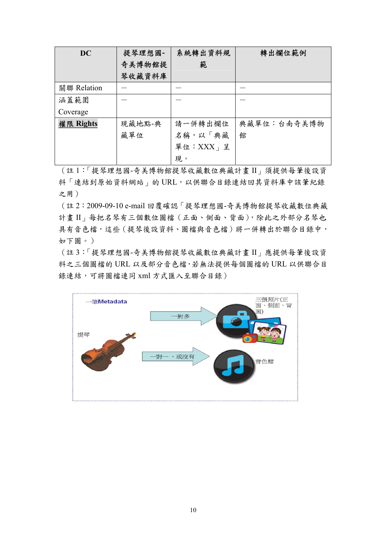| <b>DC</b>   | 提琴理想國- | 系統轉出資料規       | 轉出欄位範例      |
|-------------|--------|---------------|-------------|
|             | 奇美博物館提 | 範             |             |
|             | 琴收藏資料庫 |               |             |
| 關聯 Relation |        |               |             |
| 涵蓋範圍        |        |               |             |
| Coverage    |        |               |             |
| 權限 Rights   | 現藏地點-典 | 請一併轉出欄位       | 典藏單位:台南奇美博物 |
|             | 藏單位    | 名稱,以「典藏       | 館           |
|             |        | 單位: $XXX$   呈 |             |
|             |        | 現。            |             |

(註 1:「提琴理想國-奇美博物館提琴收藏數位典藏計畫 II」須提供每筆後設資 料「連結到原始資料網站」的 URL,以供聯合目錄連結回其資料庫中該筆紀錄 之用)

(註 2:2009-09-10 e-mail 回覆確認「提琴理想國-奇美博物館提琴收藏數位典藏 計畫 II」每把名琴有三個數位圖檔(正面、側面、背面),除此之外部分名琴也 具有音色檔,這些(提琴後設資料、圖檔與音色檔)將一併轉出於聯合目錄中, 如下圖。)

(註 3:「提琴理想國-奇美博物館提琴收藏數位典藏計畫 II」應提供每筆後設資 料之三個圖檔的 URL 以及部分音色檔,若無法提供每個圖檔的 URL 以供聯合目 錄連結,可將圖檔連同 xml 方式匯入至聯合目錄)

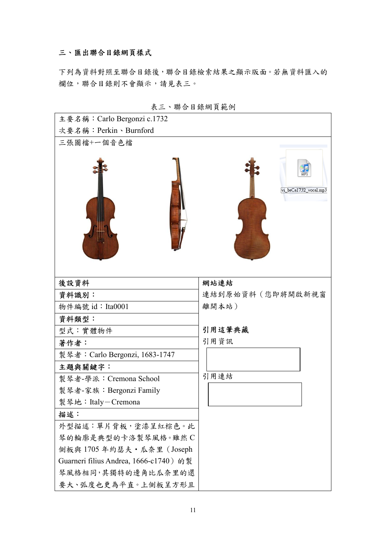#### 三、匯出聯合目錄網頁樣式

下列為資料對照至聯合目錄後,聯合目錄檢索結果之顯示版面。若無資料匯入的 欄位,聯合目錄則不會顯示,請見表三。

| 主要名稱: Carlo Bergonzi c.1732            |                       |
|----------------------------------------|-----------------------|
| 次要名稱: Perkin、Burnford                  |                       |
| 三張圖檔+一個音色檔                             |                       |
|                                        | vi_beCa1732_vocal.mp3 |
| 後設資料                                   | 網站連結                  |
| 資料識別:                                  | 連結到原始資料(您即將開啟新視窗      |
| 物件編號 id: Ita0001                       | 離開本站)                 |
| 資料類型:                                  |                       |
| 型式:實體物件                                | 引用這筆典藏                |
| 著作者:                                   | 引用資訊                  |
| 製琴者: Carlo Bergonzi, 1683-1747         |                       |
| 主題與關鍵字:                                |                       |
| 製琴者-學派: Cremona School                 | 引用連結                  |
| 製琴者-家族: Bergonzi Family                |                       |
| 製琴地:Italy-Cremona                      |                       |
| 描述:                                    |                       |
| 外型描述:單片背板,塗漆呈紅棕色。此                     |                       |
| 琴的輪廓是典型的卡洛製琴風格。雖然C                     |                       |
| 側板與 1705年約瑟夫·瓜奈里 (Joseph               |                       |
| Guarneri filius Andrea, 1666-c1740) 的製 |                       |
| 琴風格相同,其獨特的邊角比瓜奈里的還                     |                       |
| 要大、弧度也更為平直。上側板呈方形且                     |                       |

表三、聯合目錄網頁範例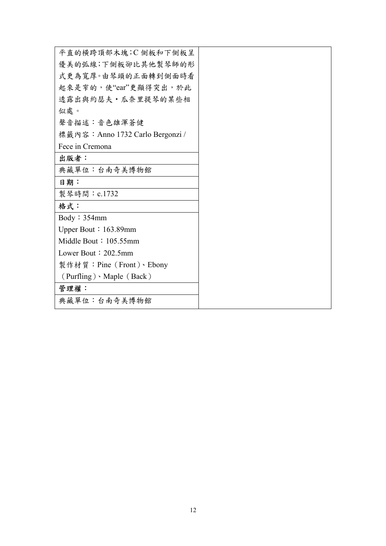| 平直的横跨頂部木塊;C側板和下側板呈               |
|----------------------------------|
| 優美的弧線;下側板卻比其他製琴師的形               |
| 式更為寬厚。由琴頭的正面轉到側面時看               |
| 起來是窄的,使"ear"更顯得突出,於此             |
| 透露出與約瑟夫·瓜奈里提琴的某些相                |
| 似處。                              |
| 聲音描述:音色雄渾蒼健                      |
| 標籤內容: Anno 1732 Carlo Bergonzi / |
| Fece in Cremona                  |
| 出版者:                             |
| 典藏單位:台南奇美博物館                     |
| 日期:                              |
| 製琴時間: c.1732                     |
| 格式:                              |
| Body: 354mm                      |
| Upper Bout: $163.89$ mm          |
| Middle Bout: $105.55$ mm         |
| Lower Bout $: 202.5$ mm          |
| 製作材質: Pine (Front)、Ebony         |
| $(Purfling) \cdot Maple(Back)$   |
| 管理權:                             |
| 典藏單位:台南奇美博物館                     |
|                                  |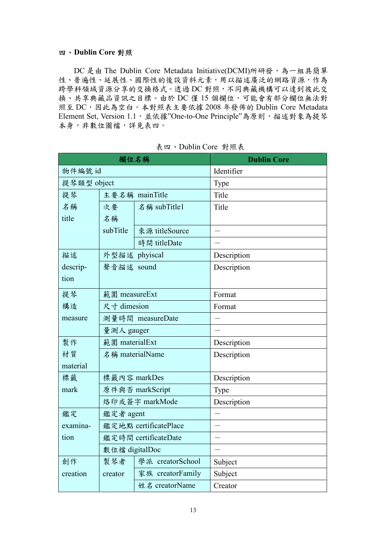#### 四、**Dublin Core** 對照

DC 是由 The Dublin Core Metadata Initiative(DCMI)所研發,為一組具簡單 性、普遍性、延展性、國際性的後設資料元素,用以描述廣泛的網路資源,作為 跨學科領域資源分享的交換格式。透過 DC 對照,不同典藏機構可以達到彼此交 換、共享典藏品資訊之目標。由於 DC 僅 15 個欄位,可能會有部分欄位無法對 照至 DC,因此為空白。本對照表主要依據 2008 年發佈的 Dublin Core Metadata Element Set, Version 1.1,並依據"One-to-One Principle"為原則,描述對象為提琴 本身,非數位圖檔,詳見表四。

|             |                       | 欄位名稱             | <b>Dublin Core</b>       |
|-------------|-----------------------|------------------|--------------------------|
| 物件編號 id     |                       |                  | Identifier               |
| 提琴類型 object |                       |                  | Type                     |
| 提琴          |                       | 主要名稱 mainTitle   | Title                    |
| 名稱          | 次要                    | 名稱 subTitle1     | Title                    |
| title       | 名稱                    |                  |                          |
|             | subTitle              | 來源 titleSource   |                          |
|             |                       | 時間 titleDate     |                          |
| 描述          | 外型描述 phyiscal         |                  | Description              |
| descrip-    | 聲音描述 sound            |                  | Description              |
| tion        |                       |                  |                          |
| 提琴          | 範圍 measureExt         |                  | Format                   |
| 構造          | 尺寸 dimesion           |                  | Format                   |
| measure     | 測量時間 measureDate      |                  |                          |
|             | 量測人 gauger            |                  |                          |
| 製作          | 範圍 materialExt        |                  | Description              |
| 材質          | 名稱 materialName       |                  | Description              |
| material    |                       |                  |                          |
| 標籤          | 標籤內容 markDes          |                  | Description              |
| mark        |                       | 原件與否 markScript  | Type                     |
|             |                       | 烙印或簽字 markMode   | Description              |
| 鑑定          | 鑑定者 agent             |                  |                          |
| examina-    | 鑑定地點 certificatePlace |                  | $\overline{\phantom{a}}$ |
| tion        | 鑑定時間 certificateDate  |                  |                          |
|             | 數位檔 digitalDoc        |                  |                          |
| 創作          | 製琴者                   | 學派 creatorSchool | Subject                  |
| creation    | creator               | 家族 creatorFamily | Subject                  |
|             | 姓名 creatorName        |                  | Creator                  |

表四、Dublin Core 對照表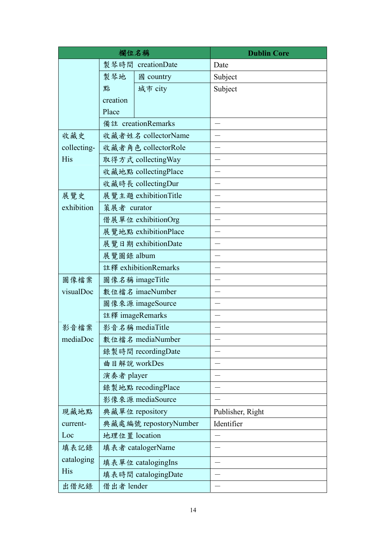| 欄位名稱        |                       |                      | <b>Dublin Core</b> |
|-------------|-----------------------|----------------------|--------------------|
|             |                       | 製琴時間 creationDate    | Date               |
|             | 製琴地                   | 國 country            | Subject            |
|             | 點                     | 城市 city              | Subject            |
|             | creation              |                      |                    |
|             | Place                 |                      |                    |
|             |                       | 備註 creationRemarks   |                    |
| 收藏史         | 收藏者姓名 collectorName   |                      |                    |
| collecting- | 收藏者角色 collectorRole   |                      |                    |
| His         | 取得方式 collectingWay    |                      |                    |
|             | 收藏地點 collectingPlace  |                      |                    |
|             | 收藏時長 collectingDur    |                      |                    |
| 展覽史         | 展覽主題 exhibitionTitle  |                      |                    |
| exhibition  | 策展者 curator           |                      |                    |
|             |                       | 借展單位 exhibitionOrg   |                    |
|             | 展覽地點 exhibitionPlace  |                      |                    |
|             | 展覽日期 exhibitionDate   |                      |                    |
|             | 展覽圖錄 album            |                      |                    |
|             |                       | 註釋 exhibitionRemarks |                    |
| 圖像檔案        | 圖像名稱 imageTitle       |                      |                    |
| visualDoc   | 數位檔名 imaeNumber       |                      |                    |
|             | 圖像來源 imageSource      |                      |                    |
|             | 註釋 imageRemarks       |                      |                    |
| 影音檔案        | 影音名稱 mediaTitle       |                      |                    |
| mediaDoc    | 數位檔名 mediaNumber      |                      |                    |
|             |                       | 錄製時間 recordingDate   |                    |
|             | 曲目解說 workDes          |                      |                    |
|             | 演奏者 player            |                      |                    |
|             |                       | 錄製地點 recodingPlace   |                    |
|             |                       | 影像來源 mediaSource     |                    |
| 現藏地點        | 典藏單位 repository       |                      | Publisher, Right   |
| current-    | 典藏處編號 repostoryNumber |                      | Identifier         |
| Loc         | 地理位置 location         |                      |                    |
| 填表記錄        | 填表者 catalogerName     |                      |                    |
| cataloging  | 填表單位 catalogingIns    |                      |                    |
| His         | 填表時間 catalogingDate   |                      |                    |
| 出借紀錄        | 借出者 lender            |                      |                    |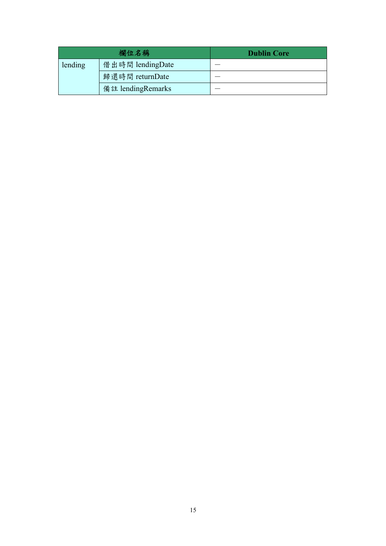|         | 欄位名稱              | <b>Dublin Core</b> |
|---------|-------------------|--------------------|
| lending | 借出時間 lendingDate  |                    |
|         | 歸還時間 returnDate   |                    |
|         | 備註 lendingRemarks |                    |